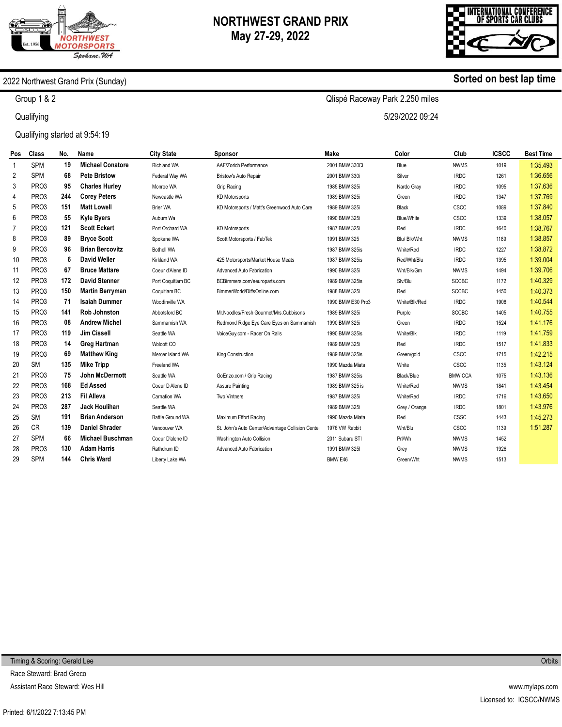

Qlispé Raceway Park 2.250 miles

5/29/2022 09:24



**Sorted on best lap time**

#### 2022 Northwest Grand Prix (Sunday)

Group 1 & 2

**Qualifying** 

Qualifying started at 9:54:19

| Pos            | Class             | No. | Name                    | <b>City State</b>       | Sponsor                                           | Make              | Color             | Club           | <b>ICSCC</b> | <b>Best Time</b> |
|----------------|-------------------|-----|-------------------------|-------------------------|---------------------------------------------------|-------------------|-------------------|----------------|--------------|------------------|
| -1             | <b>SPM</b>        | 19  | <b>Michael Conatore</b> | <b>Richland WA</b>      | AAF/Zorich Performance                            | 2001 BMW 330Ci    | Blue              | <b>NWMS</b>    | 1019         | 1:35.493         |
| 2              | <b>SPM</b>        | 68  | <b>Pete Bristow</b>     | Federal Way WA          | <b>Bristow's Auto Repair</b>                      | 2001 BMW 330i     | Silver            | <b>IRDC</b>    | 1261         | 1:36.656         |
| 3              | PR <sub>O</sub> 3 | 95  | <b>Charles Hurley</b>   | Monroe WA               | Grip Racing                                       | 1985 BMW 325i     | Nardo Gray        | <b>IRDC</b>    | 1095         | 1:37.636         |
| 4              | PR <sub>O</sub> 3 | 244 | <b>Corey Peters</b>     | Newcastle WA            | <b>KD Motorsports</b>                             | 1989 BMW 325i     | Green             | <b>IRDC</b>    | 1347         | 1:37.769         |
| 5              | PR <sub>O</sub> 3 | 151 | <b>Matt Lowell</b>      | <b>Brier WA</b>         | KD Motorsports / Matt's Greenwood Auto Care       | 1989 BMW 325i     | Black             | CSCC           | 1089         | 1:37.840         |
| 6              | PR <sub>O</sub> 3 | 55  | <b>Kyle Byers</b>       | Auburn Wa               |                                                   | 1990 BMW 325i     | <b>Blue/White</b> | <b>CSCC</b>    | 1339         | 1:38.057         |
| $\overline{7}$ | PR <sub>O</sub> 3 | 121 | <b>Scott Eckert</b>     | Port Orchard WA         | <b>KD Motorsports</b>                             | 1987 BMW 325i     | Red               | <b>IRDC</b>    | 1640         | 1:38.767         |
| 8              | PR <sub>O</sub> 3 | 89  | <b>Bryce Scott</b>      | Spokane WA              | Scott Motorsports / FabTek                        | 1991 BMW 325      | Blu/ Blk/Wht      | <b>NWMS</b>    | 1189         | 1:38.857         |
| 9              | PR <sub>O</sub> 3 | 96  | <b>Brian Bercovitz</b>  | Bothell WA              |                                                   | 1987 BMW 325is    | White/Red         | <b>IRDC</b>    | 1227         | 1:38.872         |
| 10             | PR <sub>O</sub> 3 | 6   | <b>David Weller</b>     | Kirkland WA             | 425 Motorsports/Market House Meats                | 1987 BMW 325is    | Red/Wht/Blu       | <b>IRDC</b>    | 1395         | 1:39.004         |
| 11             | PRO <sub>3</sub>  | 67  | <b>Bruce Mattare</b>    | Coeur d'Alene ID        | Advanced Auto Fabrication                         | 1990 BMW 325i     | Wht/Blk/Grn       | <b>NWMS</b>    | 1494         | 1:39.706         |
| 12             | PRO <sub>3</sub>  | 172 | <b>David Stenner</b>    | Port Coquitlam BC       | BCBimmers.com/eeuroparts.com                      | 1989 BMW 325is    | Slv/Blu           | <b>SCCBC</b>   | 1172         | 1:40.329         |
| 13             | PRO <sub>3</sub>  | 150 | <b>Martin Berryman</b>  | Coquitlam BC            | BimmerWorld/DiffsOnline.com                       | 1988 BMW 325i     | Red               | <b>SCCBC</b>   | 1450         | 1:40.373         |
| 14             | PR <sub>O</sub> 3 | 71  | <b>Isaiah Dummer</b>    | Woodinville WA          |                                                   | 1990 BMW E30 Pro3 | White/Blk/Red     | <b>IRDC</b>    | 1908         | 1:40.544         |
| 15             | PRO <sub>3</sub>  | 141 | <b>Rob Johnston</b>     | Abbotsford BC           | Mr.Noodles/Fresh Gourmet/Mrs.Cubbisons            | 1989 BMW 325i     | Purple            | <b>SCCBC</b>   | 1405         | 1:40.755         |
| 16             | PRO <sub>3</sub>  | 08  | <b>Andrew Michel</b>    | Sammamish WA            | Redmond Ridge Eye Care Eyes on Sammamish          | 1990 BMW 325i     | Green             | <b>IRDC</b>    | 1524         | 1:41.176         |
| 17             | PRO <sub>3</sub>  | 119 | Jim Cissell             | Seattle WA              | VoiceGuy.com - Racer On Rails                     | 1990 BMW 325is    | White/Blk         | <b>IRDC</b>    | 1119         | 1:41.759         |
| 18             | PR <sub>O</sub> 3 | 14  | <b>Greg Hartman</b>     | Wolcott CO              |                                                   | 1989 BMW 325i     | Red               | <b>IRDC</b>    | 1517         | 1:41.833         |
| 19             | PRO <sub>3</sub>  | 69  | <b>Matthew King</b>     | Mercer Island WA        | King Construction                                 | 1989 BMW 325is    | Green/gold        | <b>CSCC</b>    | 1715         | 1:42.215         |
| 20             | <b>SM</b>         | 135 | <b>Mike Tripp</b>       | Freeland WA             |                                                   | 1990 Mazda Miata  | White             | <b>CSCC</b>    | 1135         | 1:43.124         |
| 21             | PRO <sub>3</sub>  | 75  | John McDermott          | Seattle WA              | GoEnzo.com / Grip Racing                          | 1987 BMW 325is    | Black/Blue        | <b>BMW CCA</b> | 1075         | 1:43.136         |
| 22             | PRO <sub>3</sub>  | 168 | <b>Ed Assed</b>         | Coeur D Alene ID        | <b>Assure Painting</b>                            | 1989 BMW 325 is   | White/Red         | <b>NWMS</b>    | 1841         | 1:43.454         |
| 23             | PRO <sub>3</sub>  | 213 | <b>Fil Alleva</b>       | Carnation WA            | <b>Two Vintners</b>                               | 1987 BMW 325i     | White/Red         | <b>IRDC</b>    | 1716         | 1:43.650         |
| 24             | PRO <sub>3</sub>  | 287 | <b>Jack Houlihan</b>    | Seattle WA              |                                                   | 1989 BMW 325i     | Grey / Orange     | <b>IRDC</b>    | 1801         | 1:43.976         |
| 25             | <b>SM</b>         | 191 | <b>Brian Anderson</b>   | <b>Battle Ground WA</b> | Maximum Effort Racing                             | 1990 Mazda Miata  | Red               | CSSC           | 1443         | 1:45.273         |
| 26             | <b>CR</b>         | 139 | <b>Daniel Shrader</b>   | Vancouver WA            | St. John's Auto Center/Advantage Collision Center | 1976 VW Rabbit    | Wht/Blu           | <b>CSCC</b>    | 1139         | 1:51.287         |
| 27             | <b>SPM</b>        | 66  | <b>Michael Buschman</b> | Coeur D'alene ID        | Washington Auto Collision                         | 2011 Subaru STI   | Prl/Wh            | <b>NWMS</b>    | 1452         |                  |
| 28             | PR <sub>O</sub> 3 | 130 | <b>Adam Harris</b>      | Rathdrum ID             | Advanced Auto Fabrication                         | 1991 BMW 325I     | Grey              | <b>NWMS</b>    | 1926         |                  |
| 29             | <b>SPM</b>        | 144 | <b>Chris Ward</b>       | Liberty Lake WA         |                                                   | BMW E46           | Green/Wht         | <b>NWMS</b>    | 1513         |                  |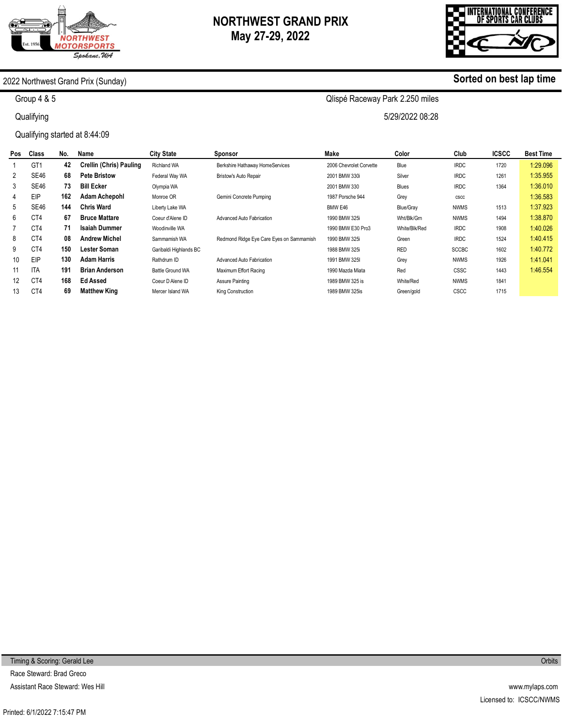



#### 2022 Northwest Grand Prix (Sunday)

Group 4 & 5

**Qualifying** 

Qualifying started at 8:44:09

| Pos | Class           | No. | Name                           | <b>City State</b>       | Sponsor                                  | Make                    | Color         | Club         | <b>ICSCC</b> | <b>Best Time</b> |
|-----|-----------------|-----|--------------------------------|-------------------------|------------------------------------------|-------------------------|---------------|--------------|--------------|------------------|
|     | GT <sub>1</sub> | 42  | <b>Crellin (Chris) Pauling</b> | Richland WA             | Berkshire Hathaway HomeServices          | 2006 Chevrolet Corvette | Blue          | <b>IRDC</b>  | 1720         | 1:29.096         |
| 2   | <b>SE46</b>     | 68  | <b>Pete Bristow</b>            | Federal Way WA          | Bristow's Auto Repair                    | 2001 BMW 330i           | Silver        | <b>IRDC</b>  | 1261         | 1:35.955         |
| 3   | SE46            | 73  | <b>Bill Ecker</b>              | Olympia WA              |                                          | 2001 BMW 330            | Blues         | <b>IRDC</b>  | 1364         | 1:36.010         |
| 4   | EIP             | 162 | <b>Adam Achepohl</b>           | Monroe OR               | Gemini Concrete Pumping                  | 1987 Porsche 944        | Grey          | CSCC         |              | 1:36.583         |
| 5   | <b>SE46</b>     | 144 | <b>Chris Ward</b>              | Liberty Lake WA         |                                          | BMW E46                 | Blue/Gray     | <b>NWMS</b>  | 1513         | 1:37.923         |
| 6   | C <sub>T4</sub> | 67  | <b>Bruce Mattare</b>           | Coeur d'Alene ID        | Advanced Auto Fabrication                | 1990 BMW 325i           | Wht/Blk/Grn   | <b>NWMS</b>  | 1494         | 1:38.870         |
|     | CT4             | 71  | <b>Isaiah Dummer</b>           | Woodinville WA          |                                          | 1990 BMW E30 Pro3       | White/Blk/Red | <b>IRDC</b>  | 1908         | 1:40.026         |
| 8   | CT4             | 08  | <b>Andrew Michel</b>           | Sammamish WA            | Redmond Ridge Eye Care Eyes on Sammamish | 1990 BMW 325i           | Green         | <b>IRDC</b>  | 1524         | 1:40.415         |
| 9   | C <sub>T4</sub> | 150 | <b>Lester Soman</b>            | Garibaldi Highlands BC  |                                          | 1988 BMW 325i           | <b>RED</b>    | <b>SCCBC</b> | 1602         | 1:40.772         |
| 10  | EIP             | 130 | <b>Adam Harris</b>             | Rathdrum ID             | Advanced Auto Fabrication                | 1991 BMW 325I           | Grey          | <b>NWMS</b>  | 1926         | 1:41.041         |
| 11  | <b>ITA</b>      | 191 | <b>Brian Anderson</b>          | <b>Battle Ground WA</b> | Maximum Effort Racing                    | 1990 Mazda Miata        | Red           | CSSC         | 1443         | 1:46.554         |
| 12  | CT4             | 168 | <b>Ed Assed</b>                | Coeur D Alene ID        | Assure Painting                          | 1989 BMW 325 is         | White/Red     | <b>NWMS</b>  | 1841         |                  |
| 13  | CT4             | 69  | <b>Matthew King</b>            | Mercer Island WA        | King Construction                        | 1989 BMW 325is          | Green/gold    | CSCC         | 1715         |                  |

**Sorted on best lap time**

Qlispé Raceway Park 2.250 miles

5/29/2022 08:28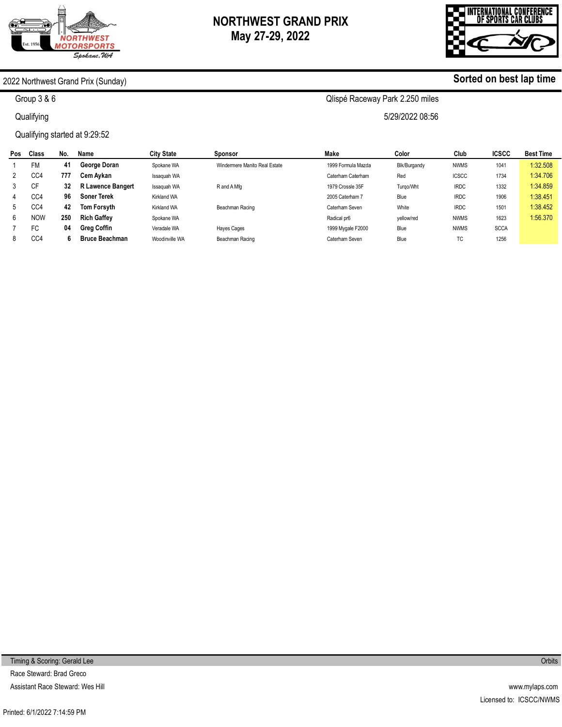

Qlispé Raceway Park 2.250 miles

5/29/2022 08:56



**Sorted on best lap time**

#### 2022 Northwest Grand Prix (Sunday)

Group 3 & 6

**Qualifying** 

Qualifying started at 9:29:52

| <b>Pos</b> | <b>Class</b> | No. | Name                     | <b>City State</b> | Sponsor                       | Make               | Color        | Club         | <b>ICSCC</b> | <b>Best Time</b> |
|------------|--------------|-----|--------------------------|-------------------|-------------------------------|--------------------|--------------|--------------|--------------|------------------|
|            | <b>FM</b>    | 41  | George Doran             | Spokane WA        | Windermere Manito Real Estate | 1999 Formula Mazda | Blk/Burgandy | <b>NWMS</b>  | 1041         | 1:32.508         |
|            | CC4          | 777 | Cem Avkan                | Issaquah WA       |                               | Caterham Caterham  | Red          | <b>ICSCC</b> | 1734         | 1:34.706         |
| 3          | СF           | 32  | <b>R Lawence Bangert</b> | Issaquah WA       | R and A Mfg                   | 1979 Crossle 35F   | Turgo/Wht    | <b>IRDC</b>  | 1332         | 1:34.859         |
| 4          | CC4          | 96  | <b>Soner Terek</b>       | Kirkland WA       |                               | 2005 Caterham 7    | Blue         | <b>IRDC</b>  | 1906         | 1:38.451         |
| 5          | CC4          | 42  | Tom Forsyth              | Kirkland WA       | Beachman Racing               | Caterham Seven     | White        | <b>IRDC</b>  | 1501         | 1:38.452         |
| 6          | <b>NOW</b>   | 250 | <b>Rich Gaffey</b>       | Spokane WA        |                               | Radical pr6        | yellow/red   | <b>NWMS</b>  | 1623         | 1:56.370         |
|            | FC           | 04  | <b>Greg Coffin</b>       | Veradale WA       | Hayes Cages                   | 1999 Mygale F2000  | Blue         | <b>NWMS</b>  | <b>SCCA</b>  |                  |
|            | CC4          |     | <b>Bruce Beachman</b>    | Woodinville WA    | Beachman Racing               | Caterham Seven     | Blue         | TC           | 1256         |                  |